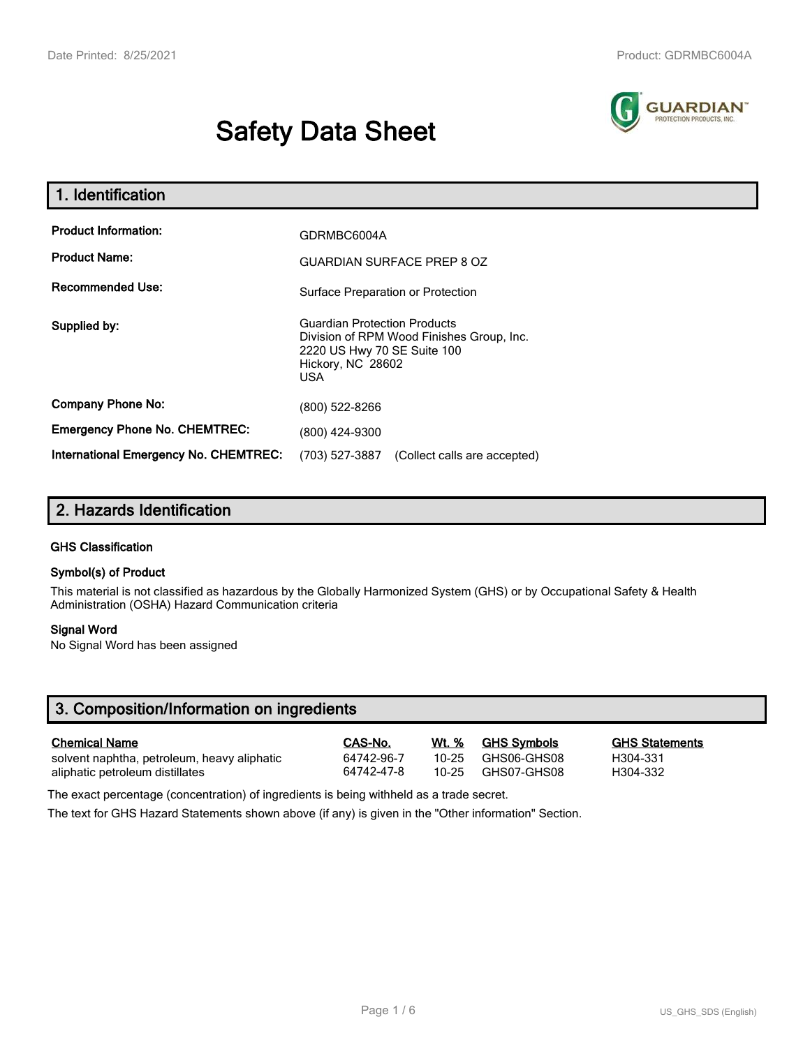# **Safety Data Sheet**



| 1. Identification                                   |                                                                                                                                                    |
|-----------------------------------------------------|----------------------------------------------------------------------------------------------------------------------------------------------------|
| <b>Product Information:</b><br><b>Product Name:</b> | GDRMBC6004A                                                                                                                                        |
| <b>Recommended Use:</b>                             | <b>GUARDIAN SURFACE PREP 8 OZ</b><br>Surface Preparation or Protection                                                                             |
| Supplied by:                                        | <b>Guardian Protection Products</b><br>Division of RPM Wood Finishes Group, Inc.<br>2220 US Hwy 70 SE Suite 100<br>Hickory, NC 28602<br><b>USA</b> |
| <b>Company Phone No:</b>                            | (800) 522-8266                                                                                                                                     |
| <b>Emergency Phone No. CHEMTREC:</b>                | (800) 424-9300                                                                                                                                     |
| International Emergency No. CHEMTREC:               | (703) 527-3887<br>(Collect calls are accepted)                                                                                                     |

# **2. Hazards Identification**

## **GHS Classification**

## **Symbol(s) of Product**

This material is not classified as hazardous by the Globally Harmonized System (GHS) or by Occupational Safety & Health Administration (OSHA) Hazard Communication criteria

## **Signal Word**

No Signal Word has been assigned

| 3. Composition/Information on ingredients   |            |           |                    |                       |
|---------------------------------------------|------------|-----------|--------------------|-----------------------|
| <b>Chemical Name</b>                        | CAS-No.    | Wt. %     | <b>GHS Symbols</b> | <b>GHS Statements</b> |
| solvent naphtha, petroleum, heavy aliphatic | 64742-96-7 | $10 - 25$ | GHS06-GHS08        | H304-331              |
| aliphatic petroleum distillates             | 64742-47-8 | 10-25     | GHS07-GHS08        | H304-332              |
|                                             | .          |           |                    |                       |

The exact percentage (concentration) of ingredients is being withheld as a trade secret.

The text for GHS Hazard Statements shown above (if any) is given in the "Other information" Section.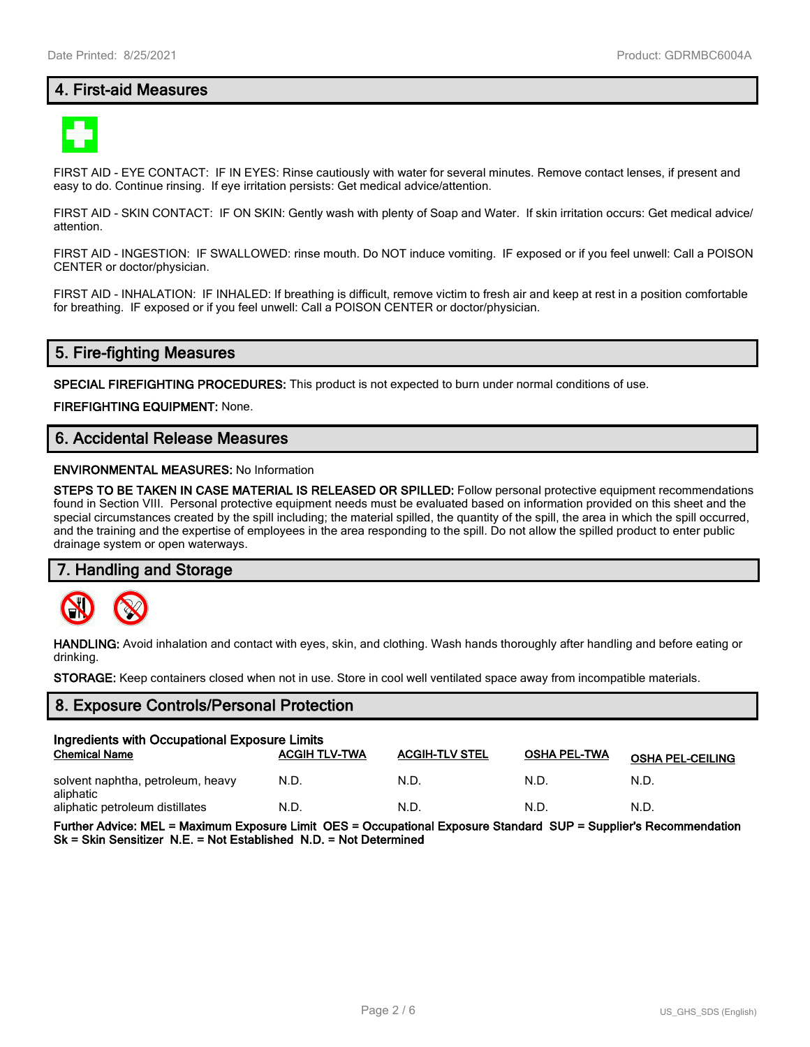# **4. First-aid Measures**



FIRST AID - EYE CONTACT: IF IN EYES: Rinse cautiously with water for several minutes. Remove contact lenses, if present and easy to do. Continue rinsing. If eye irritation persists: Get medical advice/attention.

FIRST AID - SKIN CONTACT: IF ON SKIN: Gently wash with plenty of Soap and Water. If skin irritation occurs: Get medical advice/ attention.

FIRST AID - INGESTION: IF SWALLOWED: rinse mouth. Do NOT induce vomiting. IF exposed or if you feel unwell: Call a POISON CENTER or doctor/physician.

FIRST AID - INHALATION: IF INHALED: If breathing is difficult, remove victim to fresh air and keep at rest in a position comfortable for breathing. IF exposed or if you feel unwell: Call a POISON CENTER or doctor/physician.

# **5. Fire-fighting Measures**

**SPECIAL FIREFIGHTING PROCEDURES:** This product is not expected to burn under normal conditions of use.

**FIREFIGHTING EQUIPMENT:** None.

# **6. Accidental Release Measures**

#### **ENVIRONMENTAL MEASURES:** No Information

**STEPS TO BE TAKEN IN CASE MATERIAL IS RELEASED OR SPILLED:** Follow personal protective equipment recommendations found in Section VIII. Personal protective equipment needs must be evaluated based on information provided on this sheet and the special circumstances created by the spill including; the material spilled, the quantity of the spill, the area in which the spill occurred, and the training and the expertise of employees in the area responding to the spill. Do not allow the spilled product to enter public drainage system or open waterways.

## **7. Handling and Storage**



**HANDLING:** Avoid inhalation and contact with eyes, skin, and clothing. Wash hands thoroughly after handling and before eating or drinking.

**STORAGE:** Keep containers closed when not in use. Store in cool well ventilated space away from incompatible materials.

## **8. Exposure Controls/Personal Protection**

| Ingredients with Occupational Exposure Limits  |                      |                       |                     |                         |  |
|------------------------------------------------|----------------------|-----------------------|---------------------|-------------------------|--|
| <b>Chemical Name</b>                           | <b>ACGIH TLV-TWA</b> | <b>ACGIH-TLV STEL</b> | <b>OSHA PEL-TWA</b> | <b>OSHA PEL-CEILING</b> |  |
| solvent naphtha, petroleum, heavy<br>aliphatic | N.D.                 | N.D.                  | N.D.                | N.D.                    |  |
| aliphatic petroleum distillates                | N.D.                 | N.D.                  | N.D                 | N.D.                    |  |

**Further Advice: MEL = Maximum Exposure Limit OES = Occupational Exposure Standard SUP = Supplier's Recommendation Sk = Skin Sensitizer N.E. = Not Established N.D. = Not Determined**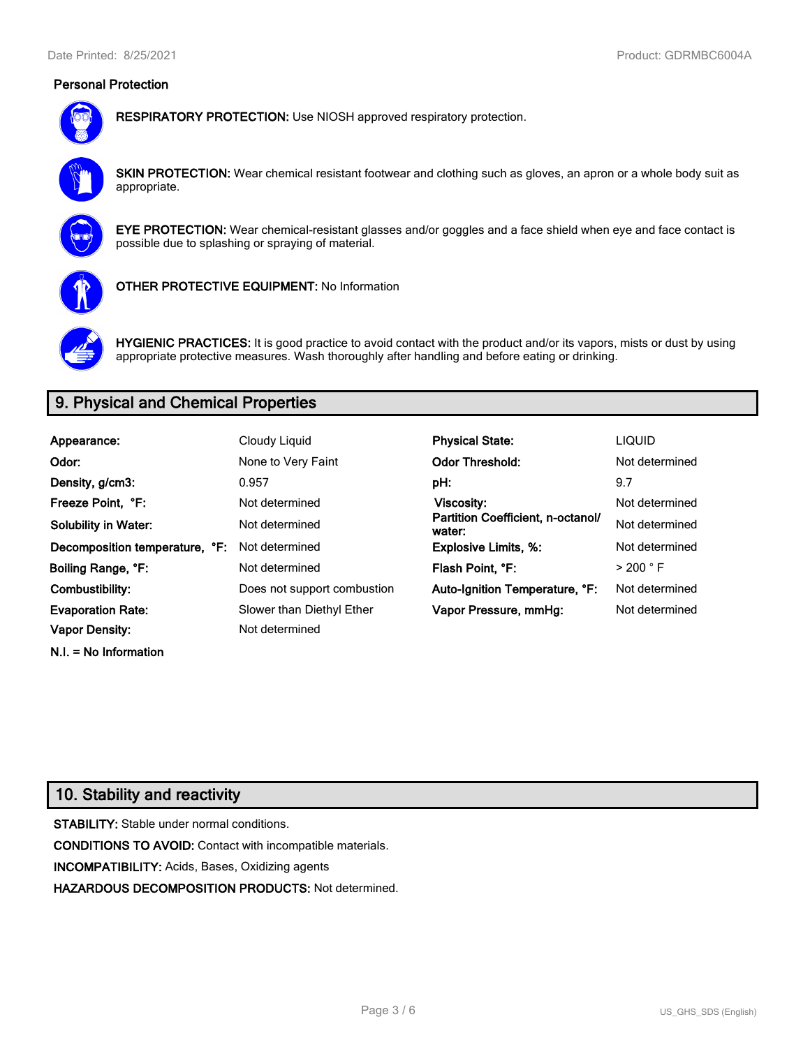# **Personal Protection**



**RESPIRATORY PROTECTION:** Use NIOSH approved respiratory protection.

**SKIN PROTECTION:** Wear chemical resistant footwear and clothing such as gloves, an apron or a whole body suit as appropriate.



**EYE PROTECTION:** Wear chemical-resistant glasses and/or goggles and a face shield when eye and face contact is possible due to splashing or spraying of material.



**OTHER PROTECTIVE EQUIPMENT:** No Information



**HYGIENIC PRACTICES:** It is good practice to avoid contact with the product and/or its vapors, mists or dust by using appropriate protective measures. Wash thoroughly after handling and before eating or drinking.

# **9. Physical and Chemical Properties**

| Appearance:                    | Cloudy Liquid               | <b>Physical State:</b>                      | <b>LIQUID</b>        |
|--------------------------------|-----------------------------|---------------------------------------------|----------------------|
| Odor:                          | None to Very Faint          | <b>Odor Threshold:</b>                      | Not determined       |
| Density, g/cm3:                | 0.957                       | pH:                                         | 9.7                  |
| Freeze Point. °F:              | Not determined              | Viscosity:                                  | Not determined       |
| <b>Solubility in Water:</b>    | Not determined              | Partition Coefficient, n-octanol/<br>water: | Not determined       |
| Decomposition temperature, °F: | Not determined              | <b>Explosive Limits, %:</b>                 | Not determined       |
| Boiling Range, °F:             | Not determined              | Flash Point, °F:                            | $>$ 200 $^{\circ}$ F |
| Combustibility:                | Does not support combustion | Auto-Ignition Temperature, °F:              | Not determined       |
| <b>Evaporation Rate:</b>       | Slower than Diethyl Ether   | Vapor Pressure, mmHg:                       | Not determined       |
| <b>Vapor Density:</b>          | Not determined              |                                             |                      |

# **10. Stability and reactivity**

**N.I. = No Information**

**STABILITY:** Stable under normal conditions. **CONDITIONS TO AVOID:** Contact with incompatible materials. **INCOMPATIBILITY:** Acids, Bases, Oxidizing agents **HAZARDOUS DECOMPOSITION PRODUCTS:** Not determined.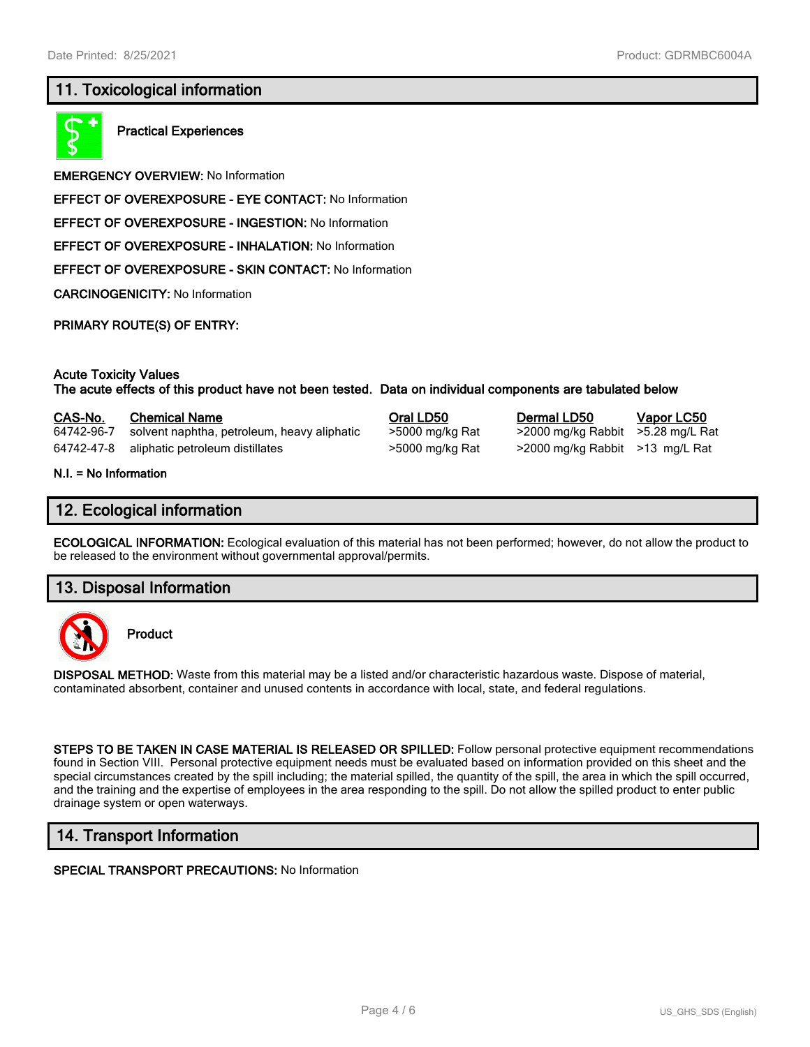# **11. Toxicological information**



**Practical Experiences**

**EMERGENCY OVERVIEW:** No Information

**EFFECT OF OVEREXPOSURE - EYE CONTACT:** No Information

**EFFECT OF OVEREXPOSURE - INGESTION:** No Information

**EFFECT OF OVEREXPOSURE - INHALATION:** No Information

**EFFECT OF OVEREXPOSURE - SKIN CONTACT:** No Information

**CARCINOGENICITY:** No Information

**PRIMARY ROUTE(S) OF ENTRY:**

#### **Acute Toxicity Values**

**The acute effects of this product have not been tested. Data on individual components are tabulated below**

#### **CAS-No. Chemical Name Oral LD50 Dermal LD50 Vapor LC50**

64742-96-7 solvent naphtha, petroleum, heavy aliphatic >5000 mg/kg Rat >2000 mg/kg Rabbit >5.28 mg/L Rat 64742-47-8 aliphatic petroleum distillates >5000 mg/kg Rat >2000 mg/kg Rabbit >13 mg/L Rat

**N.I. = No Information**

## **12. Ecological information**

**ECOLOGICAL INFORMATION:** Ecological evaluation of this material has not been performed; however, do not allow the product to be released to the environment without governmental approval/permits.

## **13. Disposal Information**



**Product**

**DISPOSAL METHOD:** Waste from this material may be a listed and/or characteristic hazardous waste. Dispose of material, contaminated absorbent, container and unused contents in accordance with local, state, and federal regulations.

**STEPS TO BE TAKEN IN CASE MATERIAL IS RELEASED OR SPILLED:** Follow personal protective equipment recommendations found in Section VIII. Personal protective equipment needs must be evaluated based on information provided on this sheet and the special circumstances created by the spill including; the material spilled, the quantity of the spill, the area in which the spill occurred, and the training and the expertise of employees in the area responding to the spill. Do not allow the spilled product to enter public drainage system or open waterways.

# **14. Transport Information**

#### **SPECIAL TRANSPORT PRECAUTIONS:** No Information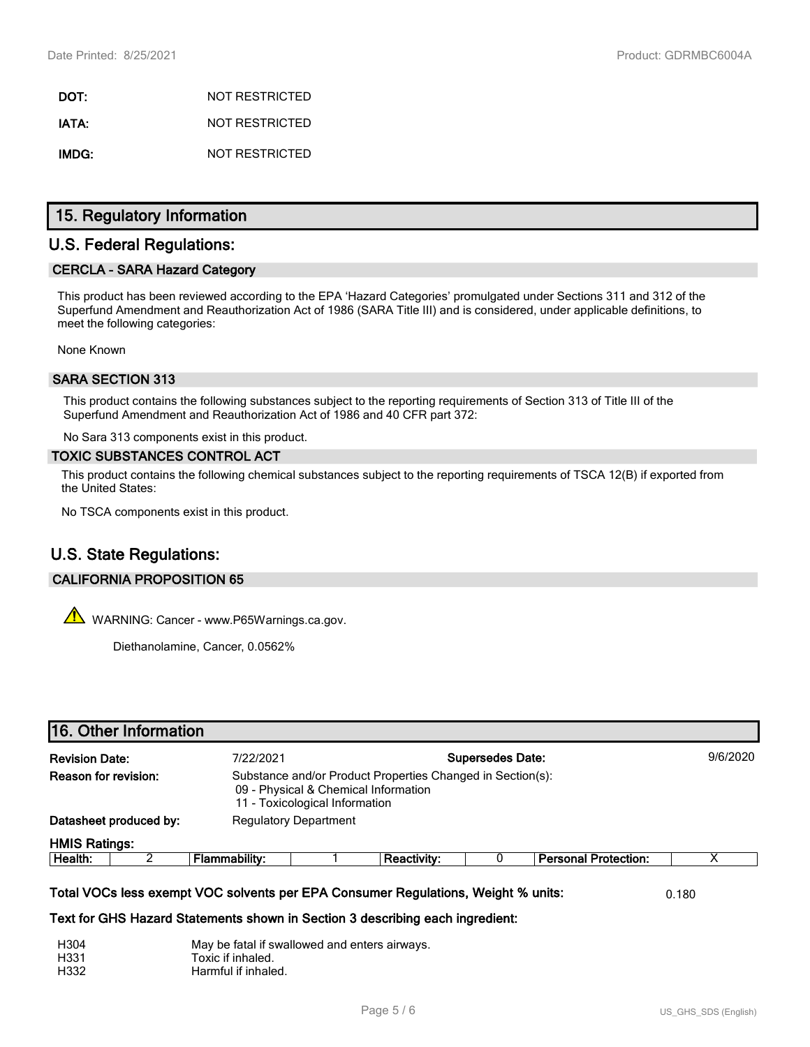**DOT:** NOT RESTRICTED **IATA:** NOT RESTRICTED **IMDG:** NOT RESTRICTED

# **15. Regulatory Information**

# **U.S. Federal Regulations:**

## **CERCLA - SARA Hazard Category**

This product has been reviewed according to the EPA 'Hazard Categories' promulgated under Sections 311 and 312 of the Superfund Amendment and Reauthorization Act of 1986 (SARA Title III) and is considered, under applicable definitions, to meet the following categories:

None Known

## **SARA SECTION 313**

This product contains the following substances subject to the reporting requirements of Section 313 of Title III of the Superfund Amendment and Reauthorization Act of 1986 and 40 CFR part 372:

No Sara 313 components exist in this product.

#### **TOXIC SUBSTANCES CONTROL ACT**

This product contains the following chemical substances subject to the reporting requirements of TSCA 12(B) if exported from the United States:

No TSCA components exist in this product.

# **U.S. State Regulations:**

## **CALIFORNIA PROPOSITION 65**

 $\mathbb{A}$  WARNING: Cancer - www.P65Warnings.ca.gov.

Diethanolamine, Cancer, 0.0562%

|                                    | 16. Other Information                                  |                                                                                                                                                                    |                                                                                                                                      |                         |  |                             |          |
|------------------------------------|--------------------------------------------------------|--------------------------------------------------------------------------------------------------------------------------------------------------------------------|--------------------------------------------------------------------------------------------------------------------------------------|-------------------------|--|-----------------------------|----------|
| <b>Revision Date:</b><br>7/22/2021 |                                                        |                                                                                                                                                                    |                                                                                                                                      | <b>Supersedes Date:</b> |  |                             | 9/6/2020 |
| Reason for revision:               |                                                        |                                                                                                                                                                    | Substance and/or Product Properties Changed in Section(s):<br>09 - Physical & Chemical Information<br>11 - Toxicological Information |                         |  |                             |          |
|                                    | <b>Regulatory Department</b><br>Datasheet produced by: |                                                                                                                                                                    |                                                                                                                                      |                         |  |                             |          |
| <b>HMIS Ratings:</b>               |                                                        |                                                                                                                                                                    |                                                                                                                                      |                         |  |                             |          |
| Health:                            | 2                                                      | <b>Flammability:</b>                                                                                                                                               |                                                                                                                                      | <b>Reactivity:</b>      |  | <b>Personal Protection:</b> | х        |
|                                    |                                                        | Total VOCs less exempt VOC solvents per EPA Consumer Regulations, Weight % units:<br>Text for GHS Hazard Statements shown in Section 3 describing each ingredient: |                                                                                                                                      |                         |  |                             | 0.180    |

| H304 | May be fatal if swallowed and enters airways. |
|------|-----------------------------------------------|
| H331 | Toxic if inhaled.                             |
| H332 | Harmful if inhaled.                           |